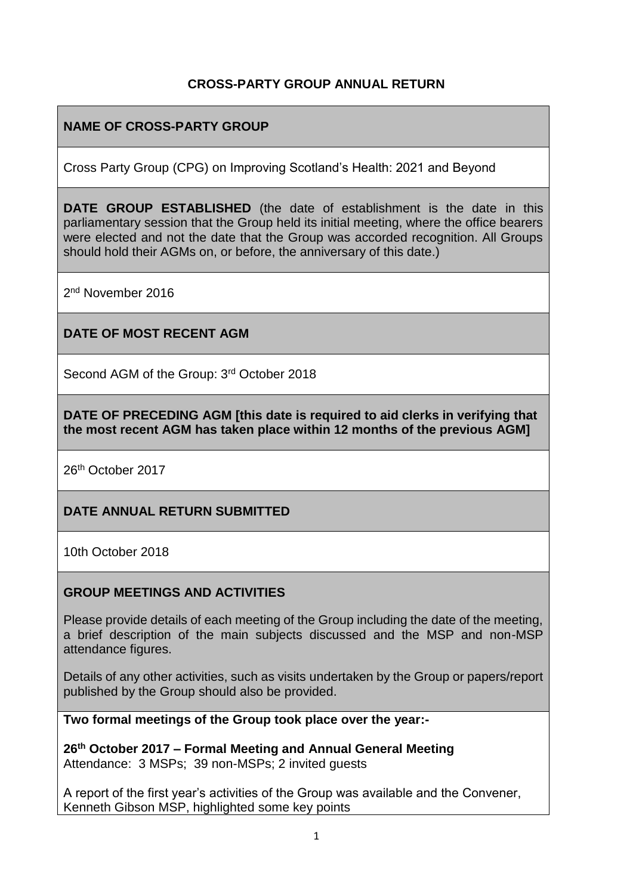## **CROSS-PARTY GROUP ANNUAL RETURN**

# **NAME OF CROSS-PARTY GROUP**

Cross Party Group (CPG) on Improving Scotland's Health: 2021 and Beyond

**DATE GROUP ESTABLISHED** (the date of establishment is the date in this parliamentary session that the Group held its initial meeting, where the office bearers were elected and not the date that the Group was accorded recognition. All Groups should hold their AGMs on, or before, the anniversary of this date.)

2<sup>nd</sup> November 2016

## **DATE OF MOST RECENT AGM**

Second AGM of the Group: 3<sup>rd</sup> October 2018

**DATE OF PRECEDING AGM [this date is required to aid clerks in verifying that the most recent AGM has taken place within 12 months of the previous AGM]**

26th October 2017

## **DATE ANNUAL RETURN SUBMITTED**

10th October 2018

## **GROUP MEETINGS AND ACTIVITIES**

Please provide details of each meeting of the Group including the date of the meeting, a brief description of the main subjects discussed and the MSP and non-MSP attendance figures.

Details of any other activities, such as visits undertaken by the Group or papers/report published by the Group should also be provided.

**Two formal meetings of the Group took place over the year:-**

**26th October 2017 – Formal Meeting and Annual General Meeting** Attendance: 3 MSPs; 39 non-MSPs; 2 invited guests

A report of the first year's activities of the Group was available and the Convener, Kenneth Gibson MSP, highlighted some key points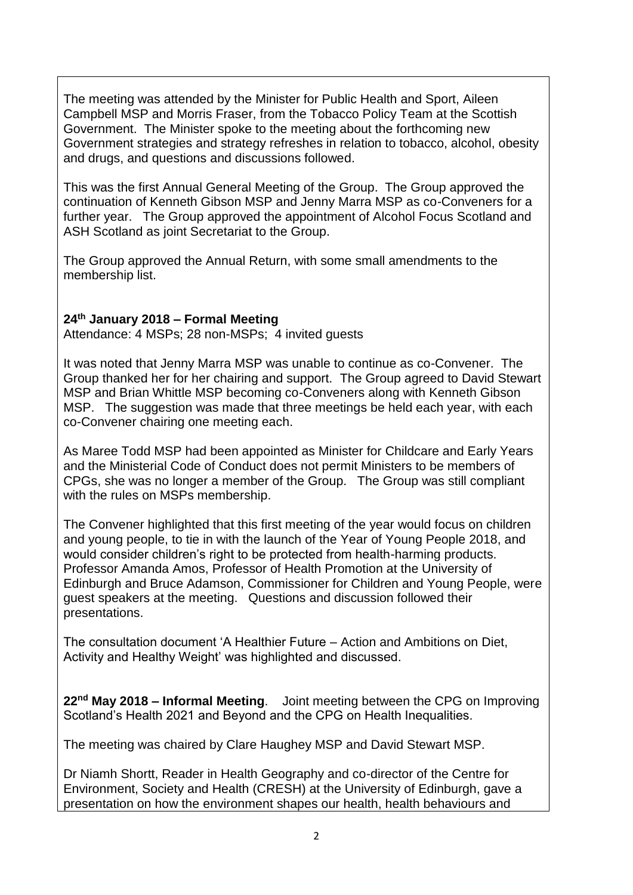The meeting was attended by the Minister for Public Health and Sport, Aileen Campbell MSP and Morris Fraser, from the Tobacco Policy Team at the Scottish Government. The Minister spoke to the meeting about the forthcoming new Government strategies and strategy refreshes in relation to tobacco, alcohol, obesity and drugs, and questions and discussions followed.

This was the first Annual General Meeting of the Group. The Group approved the continuation of Kenneth Gibson MSP and Jenny Marra MSP as co-Conveners for a further year. The Group approved the appointment of Alcohol Focus Scotland and ASH Scotland as joint Secretariat to the Group.

The Group approved the Annual Return, with some small amendments to the membership list.

#### **24th January 2018 – Formal Meeting**

Attendance: 4 MSPs; 28 non-MSPs; 4 invited guests

It was noted that Jenny Marra MSP was unable to continue as co-Convener. The Group thanked her for her chairing and support. The Group agreed to David Stewart MSP and Brian Whittle MSP becoming co-Conveners along with Kenneth Gibson MSP. The suggestion was made that three meetings be held each year, with each co-Convener chairing one meeting each.

As Maree Todd MSP had been appointed as Minister for Childcare and Early Years and the Ministerial Code of Conduct does not permit Ministers to be members of CPGs, she was no longer a member of the Group. The Group was still compliant with the rules on MSPs membership.

The Convener highlighted that this first meeting of the year would focus on children and young people, to tie in with the launch of the Year of Young People 2018, and would consider children's right to be protected from health-harming products. Professor Amanda Amos, Professor of Health Promotion at the University of Edinburgh and Bruce Adamson, Commissioner for Children and Young People, were guest speakers at the meeting. Questions and discussion followed their presentations.

The consultation document 'A Healthier Future – Action and Ambitions on Diet, Activity and Healthy Weight' was highlighted and discussed.

**22nd May 2018 – Informal Meeting**. Joint meeting between the CPG on Improving Scotland's Health 2021 and Beyond and the CPG on Health Inequalities.

The meeting was chaired by Clare Haughey MSP and David Stewart MSP.

Dr Niamh Shortt, Reader in Health Geography and co-director of the Centre for Environment, Society and Health (CRESH) at the University of Edinburgh, gave a presentation on how the environment shapes our health, health behaviours and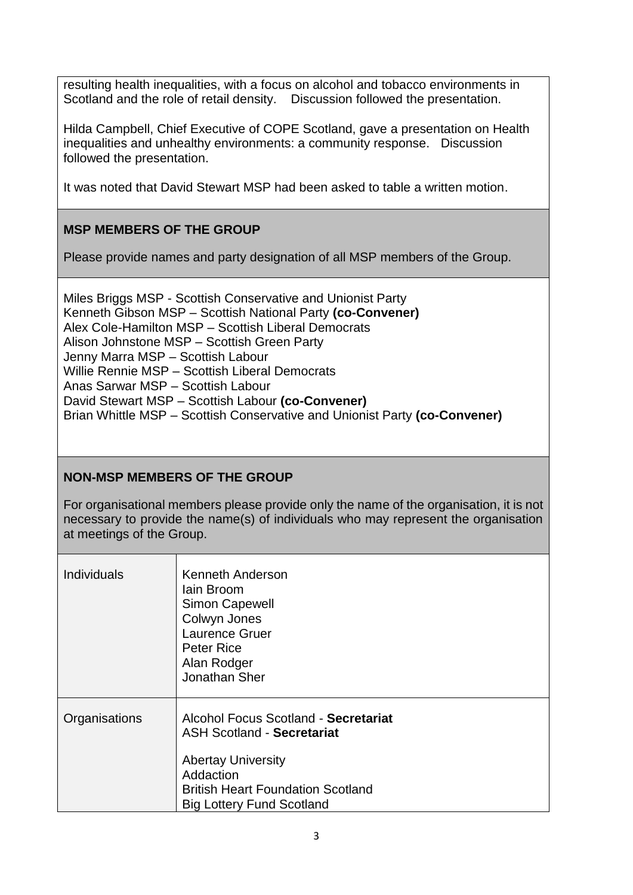resulting health inequalities, with a focus on alcohol and tobacco environments in Scotland and the role of retail density. Discussion followed the presentation.

Hilda Campbell, Chief Executive of COPE Scotland, gave a presentation on Health inequalities and unhealthy environments: a community response. Discussion followed the presentation.

It was noted that David Stewart MSP had been asked to table a written motion.

# **MSP MEMBERS OF THE GROUP**

Please provide names and party designation of all MSP members of the Group.

Miles Briggs MSP - Scottish Conservative and Unionist Party Kenneth Gibson MSP – Scottish National Party **(co-Convener)** Alex Cole-Hamilton MSP – Scottish Liberal Democrats Alison Johnstone MSP – Scottish Green Party Jenny Marra MSP – Scottish Labour Willie Rennie MSP – Scottish Liberal Democrats Anas Sarwar MSP – Scottish Labour David Stewart MSP – Scottish Labour **(co-Convener)** Brian Whittle MSP – Scottish Conservative and Unionist Party **(co-Convener)**

## **NON-MSP MEMBERS OF THE GROUP**

For organisational members please provide only the name of the organisation, it is not necessary to provide the name(s) of individuals who may represent the organisation at meetings of the Group.

| <b>Individuals</b> | <b>Kenneth Anderson</b><br>lain Broom<br><b>Simon Capewell</b><br>Colwyn Jones<br>Laurence Gruer<br>Peter Rice<br>Alan Rodger<br>Jonathan Sher                                                      |
|--------------------|-----------------------------------------------------------------------------------------------------------------------------------------------------------------------------------------------------|
| Organisations      | Alcohol Focus Scotland - Secretariat<br><b>ASH Scotland - Secretariat</b><br><b>Abertay University</b><br>Addaction<br><b>British Heart Foundation Scotland</b><br><b>Big Lottery Fund Scotland</b> |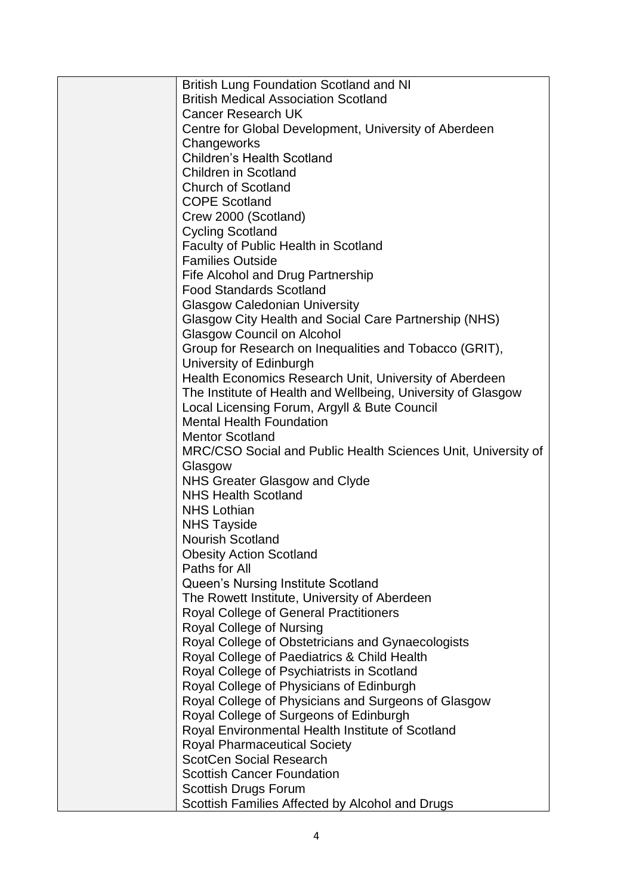| <b>British Lung Foundation Scotland and NI</b>                                    |
|-----------------------------------------------------------------------------------|
| <b>British Medical Association Scotland</b>                                       |
| <b>Cancer Research UK</b>                                                         |
| Centre for Global Development, University of Aberdeen                             |
| Changeworks                                                                       |
| <b>Children's Health Scotland</b>                                                 |
| <b>Children in Scotland</b>                                                       |
| <b>Church of Scotland</b>                                                         |
| <b>COPE Scotland</b>                                                              |
| Crew 2000 (Scotland)                                                              |
| <b>Cycling Scotland</b>                                                           |
| <b>Faculty of Public Health in Scotland</b>                                       |
| <b>Families Outside</b>                                                           |
| Fife Alcohol and Drug Partnership                                                 |
| <b>Food Standards Scotland</b>                                                    |
| <b>Glasgow Caledonian University</b>                                              |
| Glasgow City Health and Social Care Partnership (NHS)                             |
| <b>Glasgow Council on Alcohol</b>                                                 |
|                                                                                   |
| Group for Research on Inequalities and Tobacco (GRIT),                            |
| University of Edinburgh<br>Health Economics Research Unit, University of Aberdeen |
|                                                                                   |
| The Institute of Health and Wellbeing, University of Glasgow                      |
| Local Licensing Forum, Argyll & Bute Council<br><b>Mental Health Foundation</b>   |
|                                                                                   |
| <b>Mentor Scotland</b>                                                            |
| MRC/CSO Social and Public Health Sciences Unit, University of                     |
| Glasgow                                                                           |
| NHS Greater Glasgow and Clyde<br><b>NHS Health Scotland</b>                       |
| <b>NHS Lothian</b>                                                                |
|                                                                                   |
| <b>NHS Tayside</b>                                                                |
| <b>Nourish Scotland</b>                                                           |
| <b>Obesity Action Scotland</b>                                                    |
| Paths for All                                                                     |
| Queen's Nursing Institute Scotland                                                |
| The Rowett Institute, University of Aberdeen                                      |
| <b>Royal College of General Practitioners</b>                                     |
| Royal College of Nursing                                                          |
| Royal College of Obstetricians and Gynaecologists                                 |
| Royal College of Paediatrics & Child Health                                       |
| Royal College of Psychiatrists in Scotland                                        |
| Royal College of Physicians of Edinburgh                                          |
| Royal College of Physicians and Surgeons of Glasgow                               |
| Royal College of Surgeons of Edinburgh                                            |
| Royal Environmental Health Institute of Scotland                                  |
| <b>Royal Pharmaceutical Society</b>                                               |
| <b>ScotCen Social Research</b>                                                    |
| <b>Scottish Cancer Foundation</b>                                                 |
| Scottish Drugs Forum                                                              |
| Scottish Families Affected by Alcohol and Drugs                                   |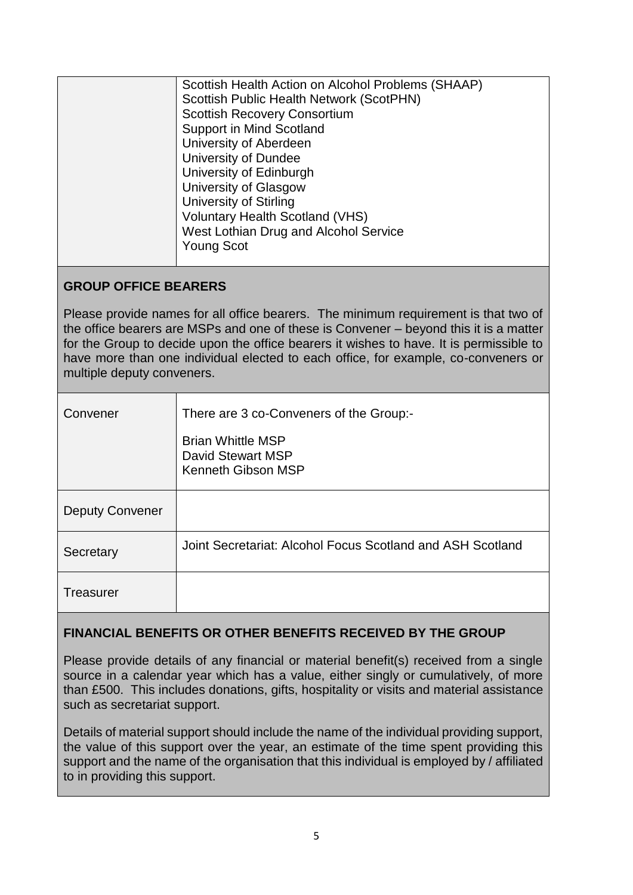|                                                                                                                                                                                                                                                                                                                                                                                             | Scottish Health Action on Alcohol Problems (SHAAP)<br>Scottish Public Health Network (ScotPHN)<br><b>Scottish Recovery Consortium</b><br><b>Support in Mind Scotland</b><br>University of Aberdeen<br><b>University of Dundee</b><br>University of Edinburgh<br>University of Glasgow<br><b>University of Stirling</b><br><b>Voluntary Health Scotland (VHS)</b><br>West Lothian Drug and Alcohol Service<br><b>Young Scot</b> |  |
|---------------------------------------------------------------------------------------------------------------------------------------------------------------------------------------------------------------------------------------------------------------------------------------------------------------------------------------------------------------------------------------------|--------------------------------------------------------------------------------------------------------------------------------------------------------------------------------------------------------------------------------------------------------------------------------------------------------------------------------------------------------------------------------------------------------------------------------|--|
| <b>GROUP OFFICE BEARERS</b>                                                                                                                                                                                                                                                                                                                                                                 |                                                                                                                                                                                                                                                                                                                                                                                                                                |  |
| Please provide names for all office bearers. The minimum requirement is that two of<br>the office bearers are MSPs and one of these is Convener – beyond this it is a matter<br>for the Group to decide upon the office bearers it wishes to have. It is permissible to<br>have more than one individual elected to each office, for example, co-conveners or<br>multiple deputy conveners. |                                                                                                                                                                                                                                                                                                                                                                                                                                |  |
| Convener                                                                                                                                                                                                                                                                                                                                                                                    | There are 3 co-Conveners of the Group:-<br><b>Brian Whittle MSP</b><br><b>David Stewart MSP</b><br><b>Kenneth Gibson MSP</b>                                                                                                                                                                                                                                                                                                   |  |
| <b>Deputy Convener</b>                                                                                                                                                                                                                                                                                                                                                                      |                                                                                                                                                                                                                                                                                                                                                                                                                                |  |
| Secretary                                                                                                                                                                                                                                                                                                                                                                                   | Joint Secretariat: Alcohol Focus Scotland and ASH Scotland                                                                                                                                                                                                                                                                                                                                                                     |  |
| <b>Treasurer</b>                                                                                                                                                                                                                                                                                                                                                                            |                                                                                                                                                                                                                                                                                                                                                                                                                                |  |
|                                                                                                                                                                                                                                                                                                                                                                                             |                                                                                                                                                                                                                                                                                                                                                                                                                                |  |

## **FINANCIAL BENEFITS OR OTHER BENEFITS RECEIVED BY THE GROUP**

Please provide details of any financial or material benefit(s) received from a single source in a calendar year which has a value, either singly or cumulatively, of more than £500. This includes donations, gifts, hospitality or visits and material assistance such as secretariat support.

Details of material support should include the name of the individual providing support, the value of this support over the year, an estimate of the time spent providing this support and the name of the organisation that this individual is employed by / affiliated to in providing this support.